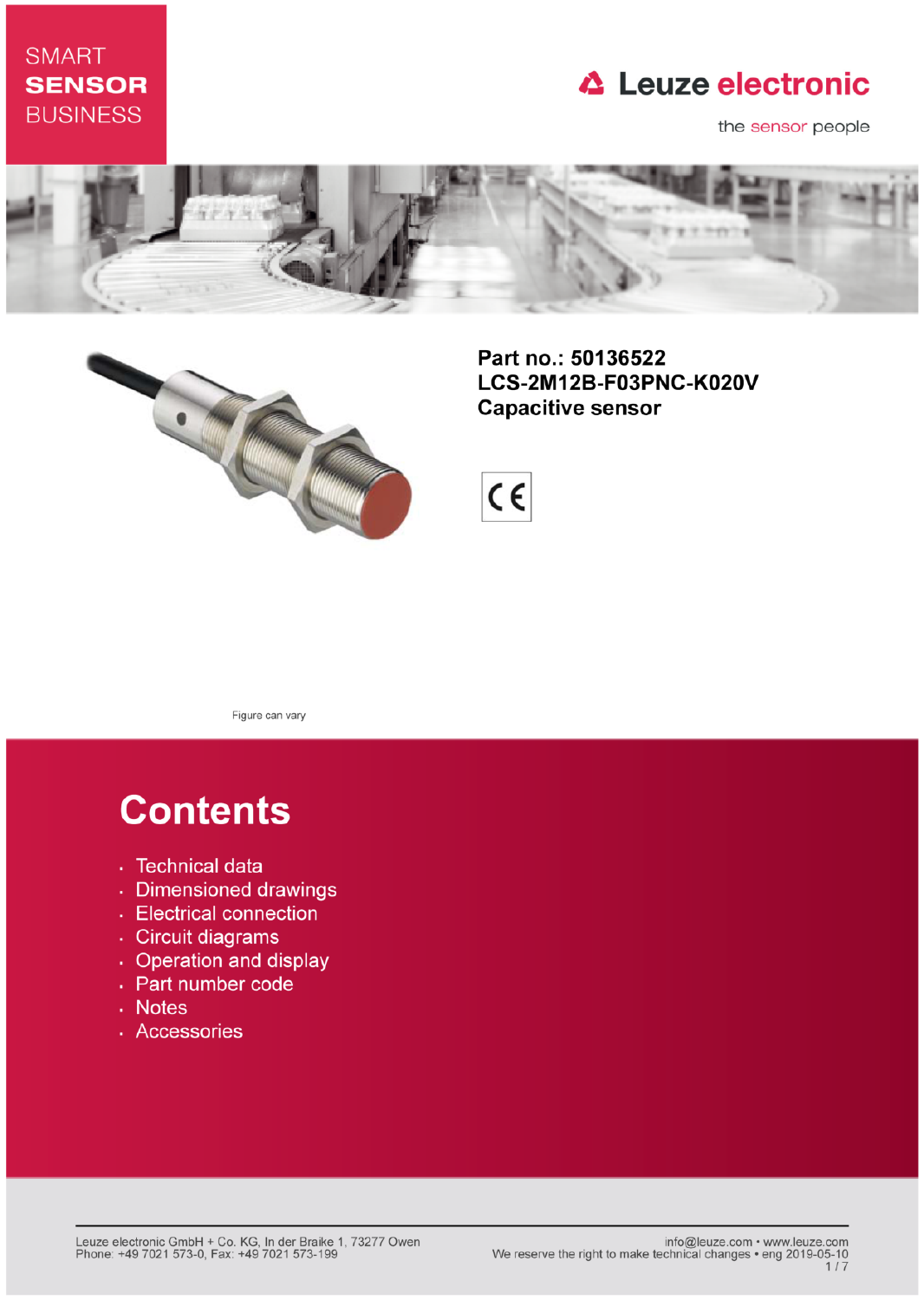## **SMART SENSOR BUSINESS**

## **△ Leuze electronic**

the sensor people





Part no.: 50136522 LCS-2M12B-F03PNC-K020V **Capacitive sensor** 



Figure can vary

# **Contents**

- · Technical data
- · Dimensioned drawings
- Electrical connection
- · Circuit diagrams
- Operation and display
- Part number code
- Notes
- · Accessories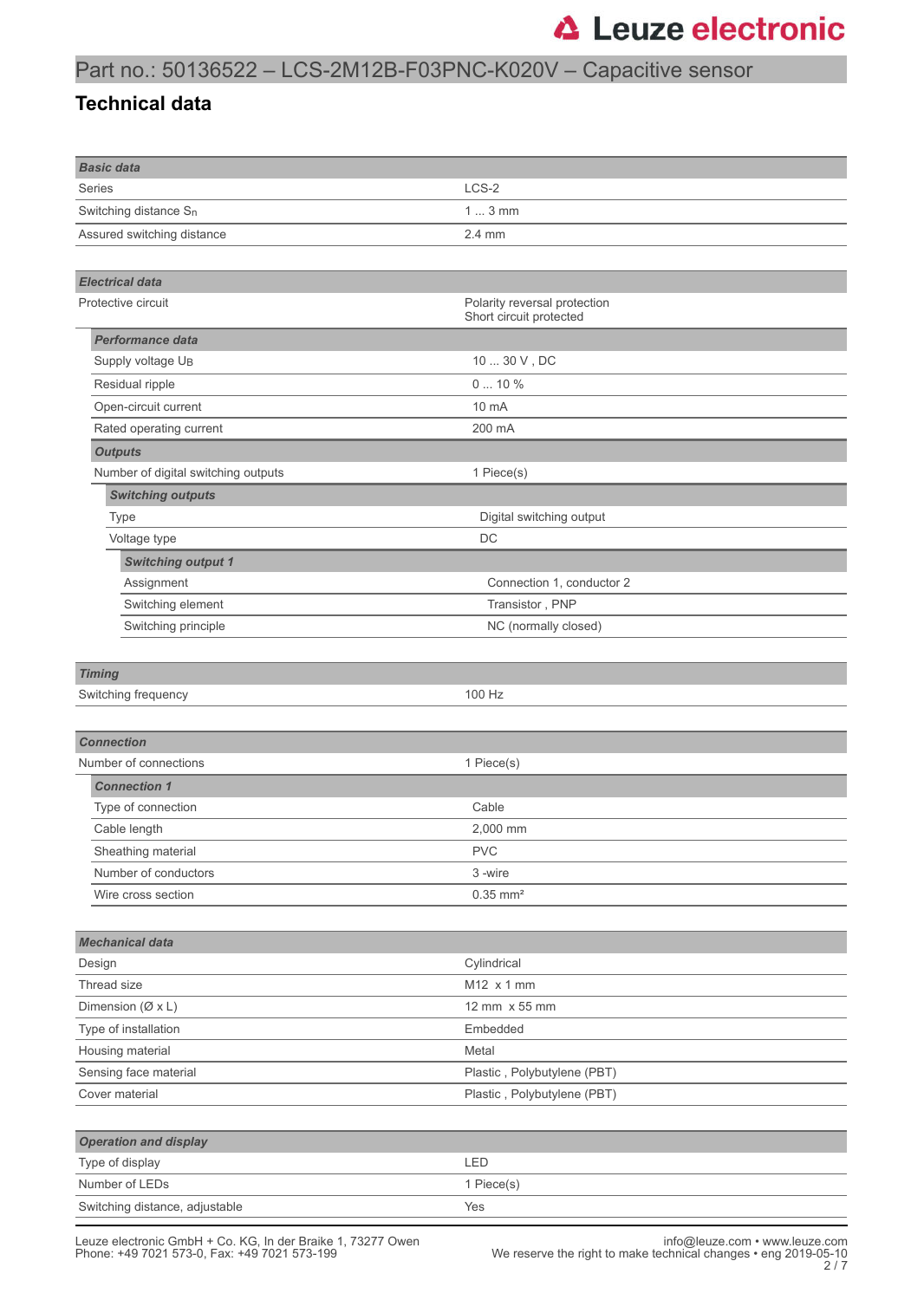## Part no.: 50136522 – LCS-2M12B-F03PNC-K020V – Capacitive sensor

#### **Technical data**

| <b>Basic data</b>                   |                              |  |  |
|-------------------------------------|------------------------------|--|--|
| Series                              | LCS-2                        |  |  |
| Switching distance S <sub>n</sub>   | $13$ mm                      |  |  |
| Assured switching distance          | 2.4 mm                       |  |  |
|                                     |                              |  |  |
| <b>Electrical data</b>              |                              |  |  |
| Protective circuit                  | Polarity reversal protection |  |  |
|                                     | Short circuit protected      |  |  |
| <b>Performance data</b>             |                              |  |  |
| Supply voltage U <sub>B</sub>       | 10  30 V, DC                 |  |  |
| Residual ripple                     | 010%                         |  |  |
| Open-circuit current                | 10 mA                        |  |  |
| Rated operating current             | 200 mA                       |  |  |
| <b>Outputs</b>                      |                              |  |  |
| Number of digital switching outputs | 1 Piece(s)                   |  |  |
| <b>Switching outputs</b>            |                              |  |  |
| <b>Type</b>                         | Digital switching output     |  |  |
| Voltage type                        | DC                           |  |  |
| <b>Switching output 1</b>           |                              |  |  |
| Assignment                          | Connection 1, conductor 2    |  |  |
| Switching element                   | Transistor, PNP              |  |  |
| Switching principle                 | NC (normally closed)         |  |  |
|                                     |                              |  |  |
| <b>Timing</b>                       |                              |  |  |
| Switching frequency                 | 100 Hz                       |  |  |
|                                     |                              |  |  |
| <b>Connection</b>                   |                              |  |  |
| Number of connections               | 1 Piece(s)                   |  |  |
| <b>Connection 1</b>                 |                              |  |  |
| Type of connection                  | Cable                        |  |  |
| Cable length                        | 2.000 mm                     |  |  |
| Sheathing material                  | <b>PVC</b>                   |  |  |
| Number of conductors                | 3-wire                       |  |  |
| Wire cross section                  | $0.35$ mm <sup>2</sup>       |  |  |
|                                     |                              |  |  |
| <b>Mechanical data</b>              |                              |  |  |
| Design                              | Cylindrical                  |  |  |
| Thread size                         | M12 x 1 mm                   |  |  |
| Dimension ( $(X \times L)$ )        | 12 mm x 55 mm                |  |  |
| Type of installation                | Embedded                     |  |  |
| Housing material                    | Metal                        |  |  |
| Sensing face material               | Plastic, Polybutylene (PBT)  |  |  |
| Cover material                      | Plastic, Polybutylene (PBT)  |  |  |
|                                     |                              |  |  |
| <b>Operation and display</b>        |                              |  |  |
| Type of display                     | LED                          |  |  |
| Number of LEDs                      | 1 Piece(s)                   |  |  |
| Switching distance, adjustable      | Yes                          |  |  |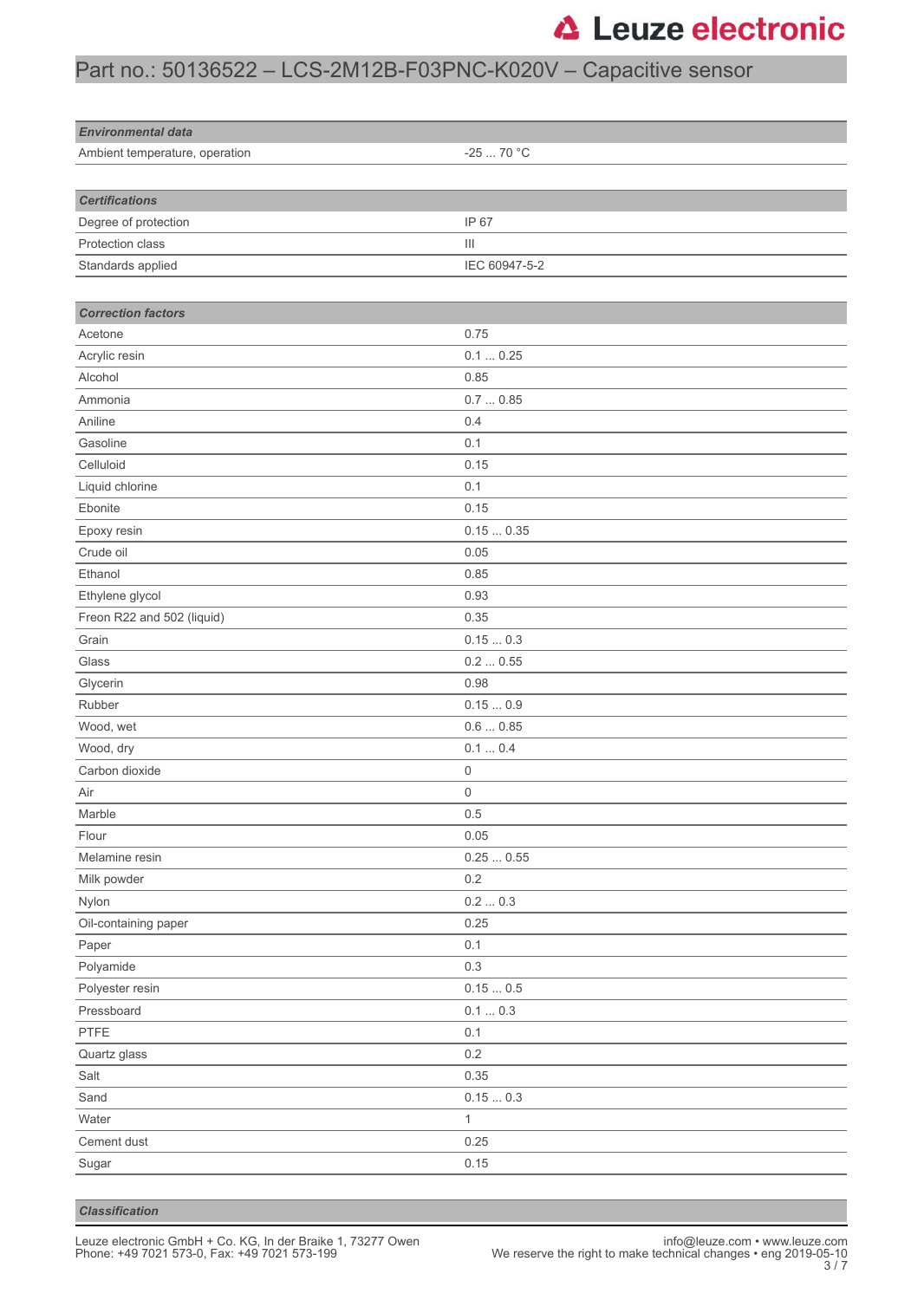## Part no.: 50136522 – LCS-2M12B-F03PNC-K020V – Capacitive sensor

| <b>Environmental data</b>      |                                    |
|--------------------------------|------------------------------------|
| Ambient temperature, operation | -25  70 °C                         |
|                                |                                    |
| <b>Certifications</b>          |                                    |
| Degree of protection           | IP 67                              |
| Protection class               | $\ensuremath{\mathsf{III}}\xspace$ |
| Standards applied              | IEC 60947-5-2                      |
|                                |                                    |
| <b>Correction factors</b>      |                                    |
| Acetone                        | 0.75                               |
| Acrylic resin                  | 0.10.25                            |
| Alcohol                        | 0.85                               |
| Ammonia                        | 0.70.85                            |
| Aniline                        | 0.4                                |
| Gasoline                       | 0.1                                |
| Celluloid                      | 0.15                               |
| Liquid chlorine                | 0.1                                |
| Ebonite                        | 0.15                               |
| Epoxy resin                    | 0.150.35                           |
| Crude oil                      | 0.05                               |
| Ethanol                        | 0.85                               |
| Ethylene glycol                | 0.93                               |
| Freon R22 and 502 (liquid)     | 0.35                               |
| Grain                          | 0.150.3                            |
| Glass                          | 0.20.55                            |
| Glycerin                       | 0.98                               |
| Rubber                         | 0.150.9                            |
| Wood, wet                      | 0.60.85                            |
| Wood, dry                      | 0.10.4                             |
| Carbon dioxide                 | 0                                  |
| Air                            | 0                                  |
| Marble                         | 0.5                                |
| Flour                          | 0.05                               |
| Melamine resin                 | $0.25\,\ldots\,0.55$               |
| Milk powder                    | $0.2\,$                            |
| Nylon                          | 0.20.3                             |
| Oil-containing paper           | 0.25                               |
| Paper                          | 0.1                                |
| Polyamide                      | 0.3                                |
| Polyester resin                | $0.15\ldots 0.5$                   |
| Pressboard                     | $0.1 \dots 0.3$                    |
| PTFE                           | 0.1                                |
| Quartz glass                   | $0.2\,$                            |
| Salt                           | 0.35                               |
| Sand                           | 0.150.3                            |
| Water                          | $\mathbf{1}$                       |
| Cement dust                    | 0.25                               |
| Sugar                          | 0.15                               |

*Classification*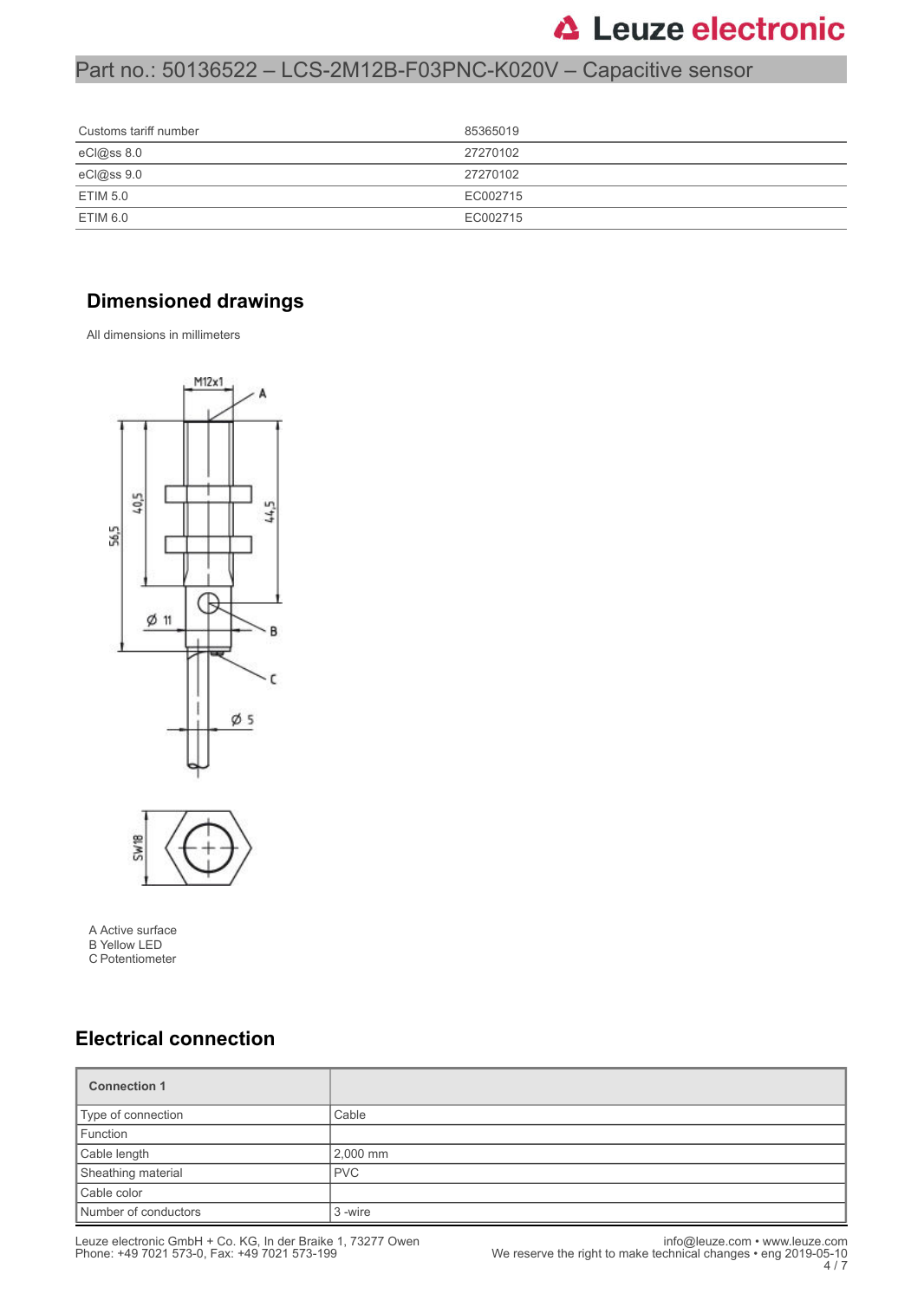## Part no.: 50136522 – LCS-2M12B-F03PNC-K020V – Capacitive sensor

| Customs tariff number | 85365019 |
|-----------------------|----------|
| eCl@ss 8.0            | 27270102 |
| eCl@ss 9.0            | 27270102 |
| <b>ETIM 5.0</b>       | EC002715 |
| ETIM 6.0              | EC002715 |

### **Dimensioned drawings**

All dimensions in millimeters



A Active surface B Yellow LED C Potentiometer

### **Electrical connection**

| <b>Connection 1</b>  |            |
|----------------------|------------|
| Type of connection   | Cable      |
| Function             |            |
| Cable length         | 2,000 mm   |
| Sheathing material   | <b>PVC</b> |
| Cable color          |            |
| Number of conductors | 3 -wire    |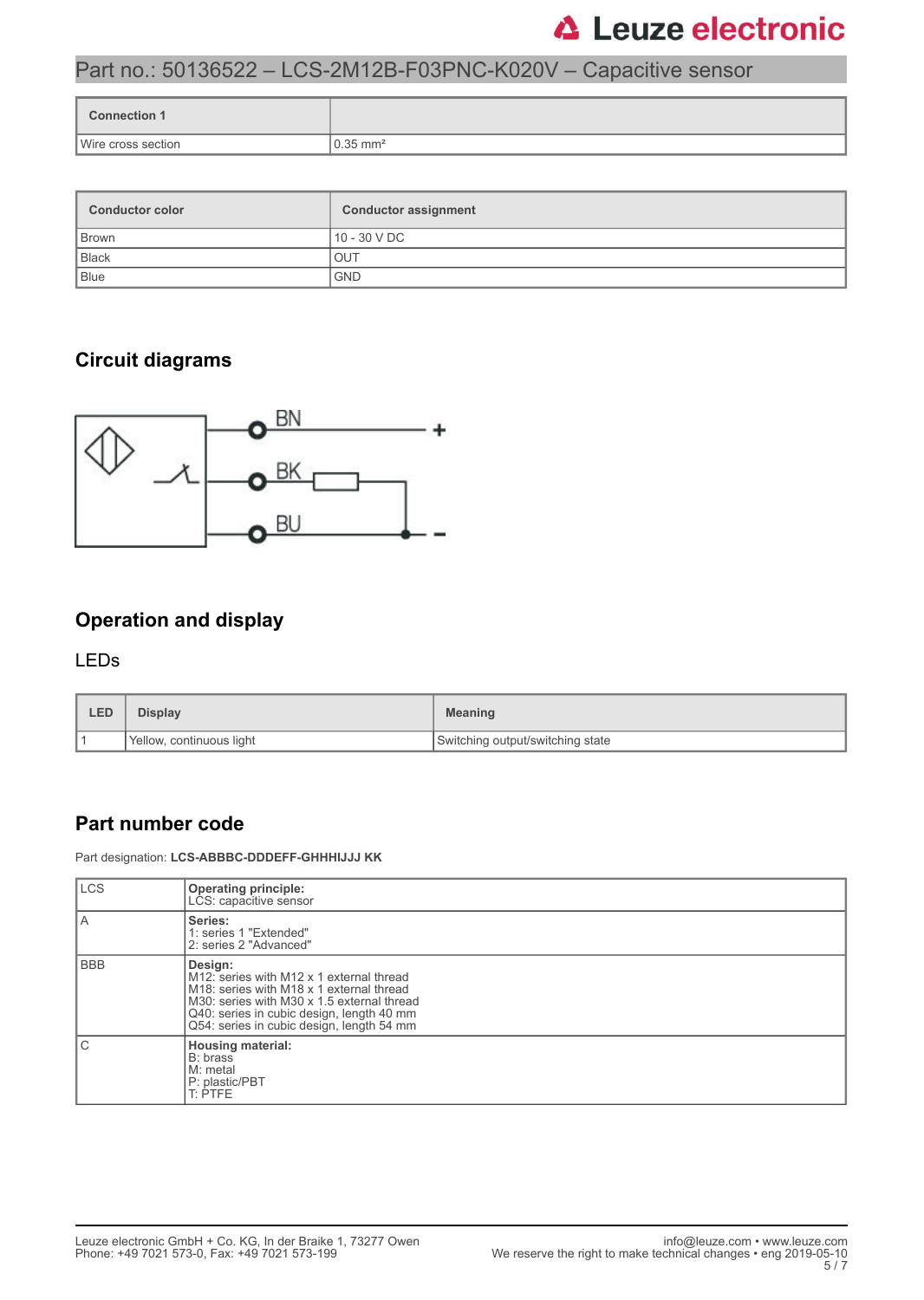### Part no.: 50136522 – LCS-2M12B-F03PNC-K020V – Capacitive sensor

| <b>Connection 1</b> |                         |
|---------------------|-------------------------|
| Wire cross section  | $10.35$ mm <sup>2</sup> |

| <b>Conductor color</b> | <b>Conductor assignment</b> |  |
|------------------------|-----------------------------|--|
| Brown                  | 10 - 30 V DC                |  |
| Black                  | <b>OUT</b>                  |  |
| Blue                   | <b>GND</b>                  |  |

### **Circuit diagrams**



### **Operation and display**

#### LEDs

| <b>LED</b>               | Display | <b>Meaning</b>                     |
|--------------------------|---------|------------------------------------|
| Yellow, continuous light |         | I Switching output/switching state |

#### **Part number code**

Part designation: **LCS-ABBBC-DDDEFF-GHHHIJJJ KK**

| <b>LCS</b> | <b>Operating principle:</b><br>LCS: capacitive sensor                                                                                                                                                                                                            |
|------------|------------------------------------------------------------------------------------------------------------------------------------------------------------------------------------------------------------------------------------------------------------------|
| A          | Series:<br>1: series 1 "Extended"<br>2: series 2 "Advanced"                                                                                                                                                                                                      |
| <b>BBB</b> | Design:<br>M12: series with M12 x 1 external thread<br>M <sub>18</sub> : series with M <sub>18</sub> x 1 external thread<br>M30: series with M30 x 1.5 external thread<br>Q40: series in cubic design, length 40 mm<br>Q54: series in cubic design, length 54 mm |
| С          | <b>Housing material:</b><br>B: brass<br>M: metal<br>P: plastic/PBT<br>T: PTFE                                                                                                                                                                                    |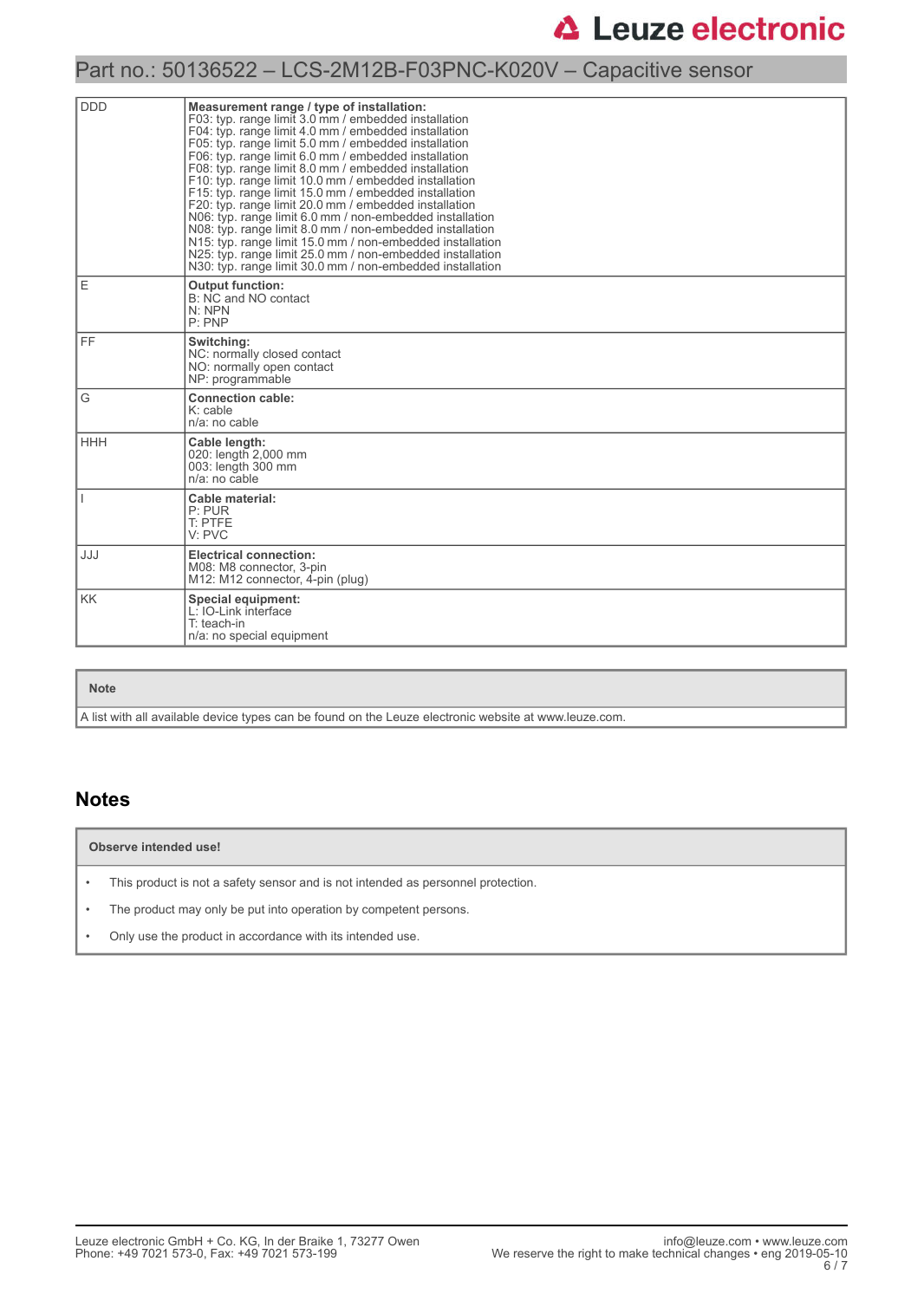### Part no.: 50136522 – LCS-2M12B-F03PNC-K020V – Capacitive sensor

| <b>DDD</b> | Measurement range / type of installation:<br>F03: typ. range limit 3.0 mm / embedded installation<br>F04: typ. range limit 4.0 mm / embedded installation<br>F05: typ. range limit 5.0 mm / embedded installation<br>F06: typ. range limit 6.0 mm / embedded installation<br>F08: typ. range limit 8.0 mm / embedded installation<br>F10: typ. range limit 10.0 mm / embedded installation<br>F15: typ. range limit 15.0 mm / embedded installation<br>F20: typ. range limit 20.0 mm / embedded installation<br>N06: typ. range limit 6.0 mm / non-embedded installation<br>N08: typ. range limit 8.0 mm / non-embedded installation<br>N15: typ. range limit 15.0 mm / non-embedded installation<br>N25: typ. range limit 25.0 mm / non-embedded installation<br>N30: typ. range limit 30.0 mm / non-embedded installation |  |  |
|------------|-----------------------------------------------------------------------------------------------------------------------------------------------------------------------------------------------------------------------------------------------------------------------------------------------------------------------------------------------------------------------------------------------------------------------------------------------------------------------------------------------------------------------------------------------------------------------------------------------------------------------------------------------------------------------------------------------------------------------------------------------------------------------------------------------------------------------------|--|--|
| Ε          | <b>Output function:</b><br>B: NC and NO contact<br>N: NPN<br>P: PNP                                                                                                                                                                                                                                                                                                                                                                                                                                                                                                                                                                                                                                                                                                                                                         |  |  |
| FF.        | Switching:<br>NC: normally closed contact<br>NO: normally open contact<br>NP: programmable                                                                                                                                                                                                                                                                                                                                                                                                                                                                                                                                                                                                                                                                                                                                  |  |  |
| G          | <b>Connection cable:</b><br>K: cable<br>n/a: no cable                                                                                                                                                                                                                                                                                                                                                                                                                                                                                                                                                                                                                                                                                                                                                                       |  |  |
| <b>HHH</b> | Cable length:<br>020: length 2,000 mm<br>003: length 300 mm<br>n/a: no cable                                                                                                                                                                                                                                                                                                                                                                                                                                                                                                                                                                                                                                                                                                                                                |  |  |
|            | Cable material:<br>P: PUR<br>T: PTFE<br>V: PVC                                                                                                                                                                                                                                                                                                                                                                                                                                                                                                                                                                                                                                                                                                                                                                              |  |  |
| JJJ        | <b>Electrical connection:</b><br>M08: M8 connector, 3-pin<br>M12: M12 connector. 4-pin (plug)                                                                                                                                                                                                                                                                                                                                                                                                                                                                                                                                                                                                                                                                                                                               |  |  |
| KK.        | Special equipment:<br>L: IO-Link interface<br>$T$ : teach-in<br>n/a: no special equipment                                                                                                                                                                                                                                                                                                                                                                                                                                                                                                                                                                                                                                                                                                                                   |  |  |

#### **Note**

A list with all available device types can be found on the Leuze electronic website at www.leuze.com.

#### **Notes**

#### **Observe intended use!**

- This product is not a safety sensor and is not intended as personnel protection.
- The product may only be put into operation by competent persons.
- Only use the product in accordance with its intended use.